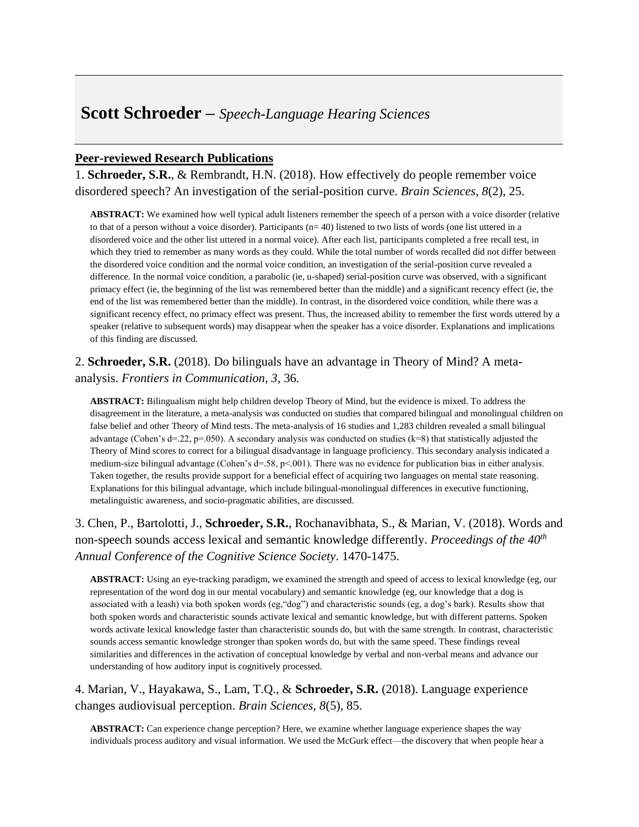## **Scott Schroeder –** *Speech-Language Hearing Sciences*

## **Peer-reviewed Research Publications**

1. **Schroeder, S.R.**, & Rembrandt, H.N. (2018). How effectively do people remember voice disordered speech? An investigation of the serial-position curve. *Brain Sciences*, *8*(2), 25.

**ABSTRACT:** We examined how well typical adult listeners remember the speech of a person with a voice disorder (relative to that of a person without a voice disorder). Participants  $(n=40)$  listened to two lists of words (one list uttered in a disordered voice and the other list uttered in a normal voice). After each list, participants completed a free recall test, in which they tried to remember as many words as they could. While the total number of words recalled did not differ between the disordered voice condition and the normal voice condition, an investigation of the serial-position curve revealed a difference. In the normal voice condition, a parabolic (ie, u-shaped) serial-position curve was observed, with a significant primacy effect (ie, the beginning of the list was remembered better than the middle) and a significant recency effect (ie, the end of the list was remembered better than the middle). In contrast, in the disordered voice condition, while there was a significant recency effect, no primacy effect was present. Thus, the increased ability to remember the first words uttered by a speaker (relative to subsequent words) may disappear when the speaker has a voice disorder. Explanations and implications of this finding are discussed.

## 2. **Schroeder, S.R.** (2018). Do bilinguals have an advantage in Theory of Mind? A metaanalysis. *Frontiers in Communication, 3,* 36*.*

**ABSTRACT:** Bilingualism might help children develop Theory of Mind, but the evidence is mixed. To address the disagreement in the literature, a meta-analysis was conducted on studies that compared bilingual and monolingual children on false belief and other Theory of Mind tests. The meta-analysis of 16 studies and 1,283 children revealed a small bilingual advantage (Cohen's d=.22, p=.050). A secondary analysis was conducted on studies (k=8) that statistically adjusted the Theory of Mind scores to correct for a bilingual disadvantage in language proficiency. This secondary analysis indicated a medium-size bilingual advantage (Cohen's d=.58, p<.001). There was no evidence for publication bias in either analysis. Taken together, the results provide support for a beneficial effect of acquiring two languages on mental state reasoning. Explanations for this bilingual advantage, which include bilingual-monolingual differences in executive functioning, metalinguistic awareness, and socio-pragmatic abilities, are discussed.

3. Chen, P., Bartolotti, J., **Schroeder, S.R.**, Rochanavibhata, S., & Marian, V. (2018). Words and non-speech sounds access lexical and semantic knowledge differently. *Proceedings of the 40th Annual Conference of the Cognitive Science Society*. 1470-1475.

**ABSTRACT:** Using an eye-tracking paradigm, we examined the strength and speed of access to lexical knowledge (eg, our representation of the word dog in our mental vocabulary) and semantic knowledge (eg, our knowledge that a dog is associated with a leash) via both spoken words (eg,"dog") and characteristic sounds (eg, a dog's bark). Results show that both spoken words and characteristic sounds activate lexical and semantic knowledge, but with different patterns. Spoken words activate lexical knowledge faster than characteristic sounds do, but with the same strength. In contrast, characteristic sounds access semantic knowledge stronger than spoken words do, but with the same speed. These findings reveal similarities and differences in the activation of conceptual knowledge by verbal and non-verbal means and advance our understanding of how auditory input is cognitively processed.

4. Marian, V., Hayakawa, S., Lam, T.Q., & **Schroeder, S.R.** (2018). Language experience changes audiovisual perception. *Brain Sciences, 8*(5), 85.

**ABSTRACT:** Can experience change perception? Here, we examine whether language experience shapes the way individuals process auditory and visual information. We used the McGurk effect—the discovery that when people hear a